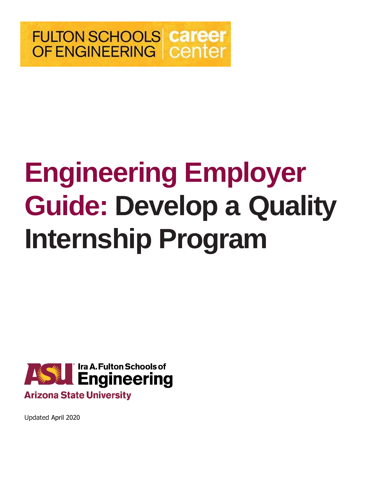## **FULTON SCHOOLS career OF ENGINEERING | center**

# **Engineering Employer Guide: Develop a Quality Internship Program**



Updated April 2020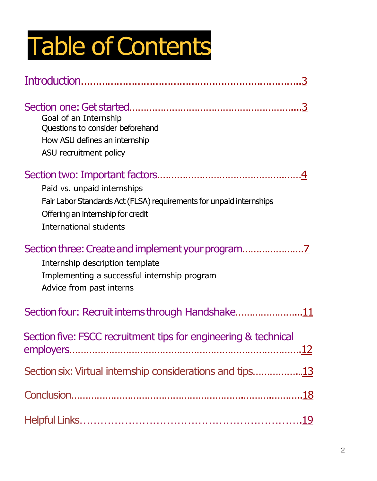# Table of Contents

| Goal of an Internship<br>Questions to consider beforehand<br>How ASU defines an internship<br>ASU recruitment policy                                              |  |
|-------------------------------------------------------------------------------------------------------------------------------------------------------------------|--|
| Paid vs. unpaid internships<br>Fair Labor Standards Act (FLSA) requirements for unpaid internships<br>Offering an internship for credit<br>International students |  |
| Internship description template<br>Implementing a successful internship program<br>Advice from past interns                                                       |  |
| Section four: Recruit interns through Handshake11                                                                                                                 |  |
| Section five: FSCC recruitment tips for engineering & technical                                                                                                   |  |
| Section six: Virtual internship considerations and tips13                                                                                                         |  |
|                                                                                                                                                                   |  |
|                                                                                                                                                                   |  |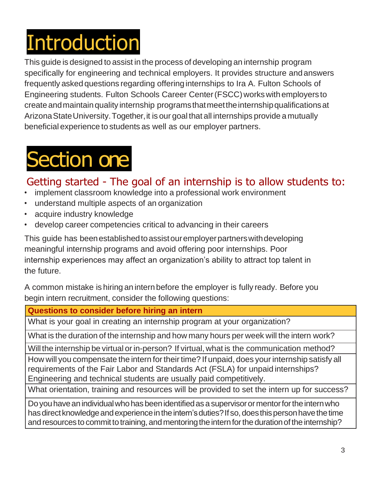## <span id="page-2-0"></span>Introduction

This guide is designed to assist in the process of developing an internship program specifically for engineering and technical employers. It provides structure andanswers frequently asked questions regarding offering internships to Ira A. Fulton Schools of Engineering students. Fulton Schools Career Center(FSCC)workswithemployers to create andmaintainquality internship programsthatmeettheinternshipqualificationsat Arizona State University. Together, it is our goal that all internships provide a mutually beneficial experience to students as well as our employer partners.

## <span id="page-2-2"></span>Section one

### <span id="page-2-1"></span>Getting started - The goal of an internship is to allow students to:

- implement classroom knowledge into a professional work environment
- understand multiple aspects of an organization
- acquire industry knowledge
- develop career competencies critical to advancing in their careers

This quide has been established to assist our employer partners with developing meaningful internship programs and avoid offering poor internships. Poor internship experiences may affect an organization's ability to attract top talent in the future.

A common mistake is hiring an intern before the employer is fully ready. Before you begin intern recruitment, consider the following questions:

**Questions to consider before hiring an intern**

What is your goal in creating an internship program at your organization?

What is the duration of the internship and how many hours per week will the intern work?

Will the internship be virtual or in-person? If virtual, what is the communication method?

How will you compensate the intern for their time? If unpaid, does your internship satisfy all requirements of the Fair Labor and Standards Act (FSLA) for unpaid internships? Engineering and technical students are usually paid competitively.

What orientation, training and resources will be provided to set the intern up for success?

Do you have an individual who has been identified as a supervisor or mentor for the intern who has direct knowledge and experience in the intern's duties? If so, does this person have the time and resources to commit to training, and mentoring the intern for the duration of the internship?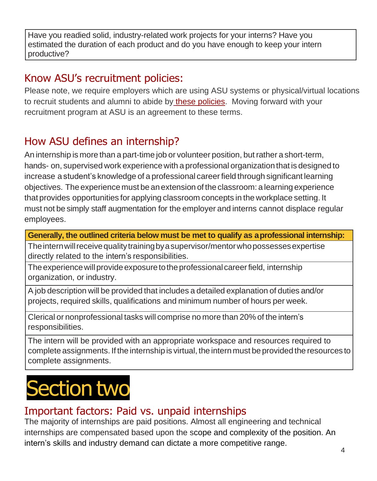Have you readied solid, industry-related work projects for your interns? Have you estimated the duration of each product and do you have enough to keep your intern productive?

### Know ASU's recruitment policies:

Please note, we require employers which are using ASU systems or physical/virtual locations to recruit students and alumni to abide by these [policies.](https://career.asu.edu/recruiting-policies) Moving forward with your recruitment program at ASU is an agreement to these terms.

## How ASU defines an internship?

An internship is more than a part-time job or volunteer position, but rather a short-term, hands- on, supervised work experience with a professional organization that is designed to increase a student's knowledge of a professional careerfield through significant learning objectives. The experience must be anextension of the classroom: a learning experience that provides opportunities for applying classroom concepts in the workplace setting. It must not be simply staff augmentation for the employer and interns cannot displace regular employees.

**Generally, the outlined criteria below must be met to qualify as aprofessional internship:**

The intern will receive quality training by a supervisor/mentor who possesses expertise directly related to the intern's responsibilities.

The experience will provide exposure to the professional career field, internship organization, or industry.

A job description will be provided that includes a detailed explanation of duties and/or projects, required skills, qualifications and minimum number of hours per week.

Clerical or nonprofessional tasks will comprise no more than 20% of the intern's responsibilities.

The intern will be provided with an appropriate workspace and resources required to complete assignments. If the internship is virtual, the intern must be provided the resources to complete assignments.

## <span id="page-3-1"></span>Section two

### <span id="page-3-0"></span>Important factors: Paid vs. unpaid internships

The majority of internships are paid positions. Almost all engineering and technical internships are compensated based upon the scope and complexity of the position. An intern's skills and industry demand can dictate a more competitive range.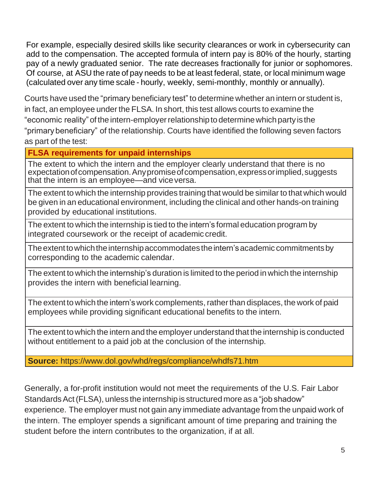For example, especially desired skills like security clearances or work in cybersecurity can add to the compensation. The accepted formula of intern pay is 80% of the hourly, starting pay of a newly graduated senior. The rate decreases fractionally for junior or sophomores. Of course, at ASU the rate of pay needs to be at least federal, state, or local minimum wage (calculated over any time scale - hourly, weekly, semi-monthly, monthly or annually).

Courts have used the "primary beneficiary test"to determine whether an intern or student is, in fact, an employee under the FLSA. In short, this test allows courts to examine the "economic reality" of the intern-employer relationship to determine which party is the "primarybeneficiary" of the relationship. Courts have identified the following seven factors as part of the test:

**FLSA requirements for unpaid internships**

The extent to which the intern and the employer clearly understand that there is no expectationofcompensation.Anypromiseofcompensation,expressorimplied,suggests that the intern is an employee—and viceversa.

The extent to which the internship provides training that would be similar to that which would be given in an educational environment, including the clinical and other hands-on training provided by educational institutions.

The extent to which the internship is tied to the intern's formal education program by integrated coursework or the receipt of academic credit.

The extent to which the internship accommodates the intern's academic commitments by corresponding to the academic calendar.

The extent to which the internship's duration is limited to the period in which the internship provides the intern with beneficial learning.

The extent to which the intern's work complements, rather than displaces, the work of paid employees while providing significant educational benefits to the intern.

The extent to which the intern and the employer understand that the internship is conducted without entitlement to a paid job at the conclusion of the internship.

**Source:** [https://www.dol.gov/whd/regs/compliance/whdfs71.htm](http://www.dol.gov/whd/regs/compliance/whdfs71.htm)

Generally, a for-profit institution would not meet the requirements of the U.S. Fair Labor Standards Act (FLSA), unless the internship is structured more as a "job shadow" experience. The employer must not gain any immediate advantage from the unpaid work of the intern. The employer spends a significant amount of time preparing and training the student before the intern contributes to the organization, if at all.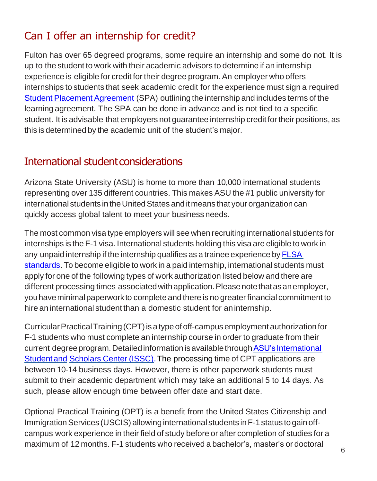## Can I offer an internship for credit?

Fulton has over 65 degreed programs, some require an internship and some do not. It is up to the student to work with their academic advisors to determine if an internship experience is eligible for credit for their degree program. An employer who offers internships to students that seek academic credit for the experience must sign a required Student Placement [Agreement](https://career.engineering.asu.edu/spa/) (SPA) outlining the internship and includes terms of the learning agreement. The SPA can be done in advance and is not tied to a specific student. It is advisable that employers not guarantee internship credit fortheir positions, as this is determined by the academic unit of the student's major.

#### International student considerations

Arizona State University (ASU) is home to more than 10,000 international students representing over 135 different countries. This makes ASU the #1 public university for international students in the United States and it means that your organization can quickly access global talent to meet your business needs.

The most common visa type employers will see when recruiting international students for internships is the F-1 visa. International students holding this visa are eligible to work in any unpaid internship if the internship qualifies as a trainee experience by FLSA standards. To become eligible to work in a paid internship, international students must apply for one of the following types of work authorization listed below and there are different processing times associated with application. Please note that as an employer, youhaveminimalpaperwork to complete and there is no greaterfinancial commitment to hire an international student than a domestic student for aninternship.

Curricular Practical Training (CPT) is a type of off-campus employment authorization for F-1 students who must complete an internship course in order to graduate from their current degree program. Detailed information is available through ASU's International Studentand Scholars Center (ISSC). The processing time of CPT applications are between 10-14 business days. However, there is other paperwork students must submit to their academic department which may take an additional 5 to 14 days. As such, please allow enough time between offer date and start date.

Optional Practical Training (OPT) is a benefit from the United States Citizenship and Immigration Services (USCIS) allowing international students in F-1 status to gain offcampus work experience in their field of study before or after completion of studies for a maximum of 12 months. F-1 students who received a bachelor's, master's or doctoral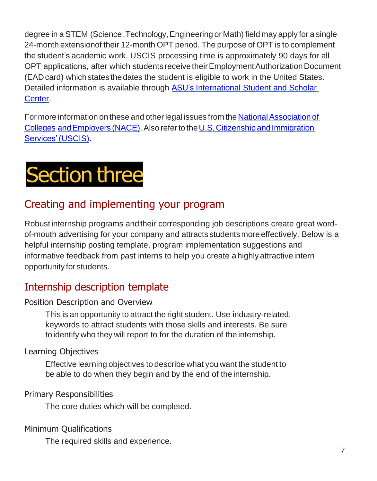degree in a STEM (Science, Technology, Engineering or Math) field may apply for a single 24-month extensionof their 12-month OPT period. The purpose of OPT is to complement the student's academic work. USCIS processing time is approximately 90 days for all OPT applications, after which students receive their Employment Authorization Document (EAD card) which states the dates the student is eligible to work in the United States. Detailed information is available through ASU's International Student and Scholar Center.

For more information on these and other legal issues from the National Association of Colleges and Employers (NACE). Also refer to the U.S. Citizenship and Immigration Services'(USCIS).

## <span id="page-6-0"></span>Section three

## Creating and implementing your program

Robustinternship programs andtheir corresponding job descriptions create great wordof-mouth advertising for your company and attracts studentsmoreeffectively. Below is a helpful internship posting template, program implementation suggestions and informative feedback from past interns to help you create a highly attractive intern opportunity for students.

## Internship description template

#### Position Description and Overview

This is an opportunity to attract the right student. Use industry-related, keywords to attract students with those skills and interests. Be sure to identify who they will report to for the duration of the internship.

Learning Objectives

Effective learning objectives to describe what you want the student to be able to do when they begin and by the end of the internship.

Primary Responsibilities

The core duties which will be completed.

Minimum Qualifications

The required skills and experience.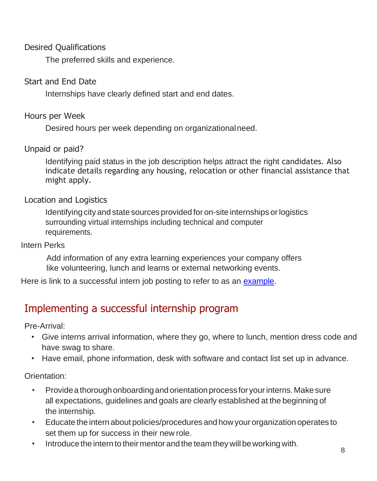#### Desired Qualifications

The preferred skills and experience.

#### Start and End Date

Internships have clearly defined start and end dates.

#### Hours per Week

Desired hours per week depending on organizationalneed.

#### Unpaid or paid?

Identifying paid status in the job description helps attract the right candidates. Also indicate details regarding any housing, relocation or other financial assistance that might apply.

#### Location and Logistics

Identifying city and state sources provided for on-site internships orlogistics surrounding virtual internships including technical and computer requirements.

#### Intern Perks

Add information of any extra learning experiences your company offers like volunteering, lunch and learns or external networking events.

Here is link to a successful intern job posting to refer to as an [example.](../Downloads/One-page.pdf)

### Implementing a successful internship program

Pre-Arrival:

- Give interns arrival information, where they go, where to lunch, mention dress code and have swag to share.
- Have email, phone information, desk with software and contact list set up in advance.

#### Orientation:

- Provideathoroughonboardingandorientationprocess for yourinterns.Makesure all expectations, guidelines and goals are clearly established at the beginning of the internship.
- Educate the intern about policies/procedures and howyour organization operates to set them up for success in their new role.
- Introduce the intern to their mentor and the team they will be working with.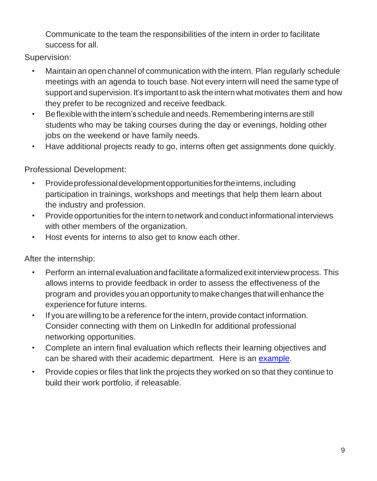Communicate to the team the responsibilities of the intern in order to facilitate success for all.

Supervision:

- Maintain an open channel of communication with the intern. Plan regularly schedule meetings with an agenda to touch base. Not every intern will need the same type of support and supervision. It's important to ask the intern what motivates them and how they prefer to be recognized and receive feedback.
- Beflexible with the intern's schedule and needs. Remembering interns are still students who may be taking courses during the day or evenings, holding other jobs on the weekend or have family needs.
- Have additional projects ready to go, interns often get assignments done quickly.

Professional Development:

- Provideprofessionaldevelopmentopportunitiesfortheinterns,including participation in trainings, workshops and meetings that help them learn about the industry and profession.
- Provide opportunities for the intern to network and conduct informational interviews with other members of the organization.
- Host events for interns to also get to know each other.

After the internship:

- Perform an internal evaluation and facilitate a formalized exit interview process. This allows interns to provide feedback in order to assess the effectiveness of the program and provides youan opportunity tomakechanges thatwill enhancethe experience for future interns.
- If you are willing to be a reference forthe intern, provide contact information. Consider connecting with them on LinkedIn for additional professional networking opportunities.
- Complete an intern final evaluation which reflects their learning objectives and can be shared with their academic department. Here is an [example.](../Downloads/Performance%20Evaluation-%20Student.pdf)
- Provide copies or files that link the projects they worked on so that they continue to build their work portfolio, if releasable.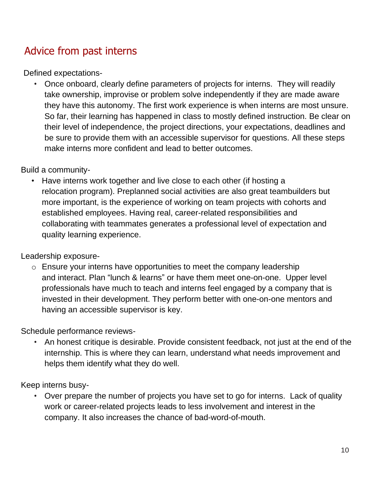## Advice from past interns

Defined expectations-

• Once onboard, clearly define parameters of projects for interns. They will readily take ownership, improvise or problem solve independently if they are made aware they have this autonomy. The first work experience is when interns are most unsure. So far, their learning has happened in class to mostly defined instruction. Be clear on their level of independence, the project directions, your expectations, deadlines and be sure to provide them with an accessible supervisor for questions. All these steps make interns more confident and lead to better outcomes.

Build a community-

• Have interns work together and live close to each other (if hosting a relocation program). Preplanned social activities are also great teambuilders but more important, is the experience of working on team projects with cohorts and established employees. Having real, career-related responsibilities and collaborating with teammates generates a professional level of expectation and quality learning experience.

Leadership exposure-

 $\circ$  Ensure your interns have opportunities to meet the company leadership and interact. Plan "lunch & learns" or have them meet one-on-one. Upper level professionals have much to teach and interns feel engaged by a company that is invested in their development. They perform better with one-on-one mentors and having an accessible supervisor is key.

Schedule performance reviews-

• An honest critique is desirable. Provide consistent feedback, not just at the end of the internship. This is where they can learn, understand what needs improvement and helps them identify what they do well.

Keep interns busy-

• Over prepare the number of projects you have set to go for interns. Lack of quality work or career-related projects leads to less involvement and interest in the company. It also increases the chance of bad-word-of-mouth.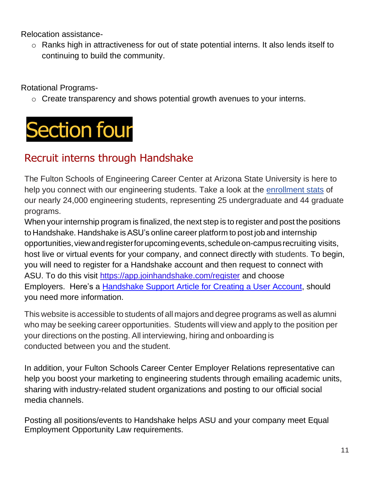Relocation assistance-

o Ranks high in attractiveness for out of state potential interns. It also lends itself to continuing to build the community.

Rotational Programs-

o Create transparency and shows potential growth avenues to your interns.

<span id="page-10-0"></span>

## Recruit interns through Handshake

The Fulton Schools of Engineering Career Center at Arizona State University is here to help you connect with our engineering students. Take a look at the [enrollment](https://urldefense.proofpoint.com/v2/url?u=http-3A__email.mail.joinhandshake.com_c_eJw9j01uxCAMhU8TdkX8DDNkwaLKiAv0AIiAk9AJMApQ9fhN0mllr77nZz97JaUbJQqKEUYIZ3sJQTimWA-2D0H4geuB4E1ZJ2FxJtWPFnDmmxyZfFPgC7HNGixDTZ28hhEhPxVypFL-2DE6joL2sh89jGhVS63P0vH3jum9Ic0hAWwhzdiWhsG3k255XSOkekxx3Wo0JbfNQcfv0ZZijgSwdex6SBF8aHGX4MAv6HKqxwJ-2DF0LeevaHbXzaMKedtxRMtdsMFbw5rQVt6iu4R8BT-5Ft7-5FfCVCVbH-2D8vbhlpxX9P-2DzOZOcRhO8-2Dj3zA0WebBw&d=DwMFaQ&c=l45AxH-kUV29SRQusp9vYR0n1GycN4_2jInuKy6zbqQ&r=aofCygp8dcjFefOrv8R50qhsU-6A9Dru6vnKw9eY9Rw&m=z1YpRYAdVqEVNXFPpj4wM5flD3LJIKdA4pq_TxM-Gjc&s=zswmuJ45n0R6gbadJUTZSUG94afXTqCgz0LDQqeXIIQ&e=) stats of our nearly 24,000 engineering students, representing 25 undergraduate and 44 graduate programs.

When your internship program is finalized, the next step is to register and post the positions to Handshake. Handshake is ASU's online career platform to post job and internship opportunities, view and register for upcoming events, schedule on-campus recruiting visits, host live or virtual events for your company, and connect directly with students. To begin, you will need to register for a Handshake account and then request to connect with ASU. To do this visit [https://app.joinhandshake.com/register](https://urldefense.proofpoint.com/v2/url?u=https-3A__app.joinhandshake.com_register&d=DwMGaQ&c=l45AxH-kUV29SRQusp9vYR0n1GycN4_2jInuKy6zbqQ&r=C2LqE1w0shCwYJCeNP_btKvezhpdaKCi6kZUoynRgjg&m=wqP_h8OEPBdCazg46lxbwwn8CMDq57r5jb2xFfo9mqE&s=Ea47VPTRCc1wsEKy0wxWwGlKQi5AWFxNMZFClMNzPZc&e=) and choose Employers. Here's a [Handshake](https://support.joinhandshake.com/hc/en-us/articles/219133047-How-to-Create-a-User-Account-Join-a-Company-and-Connect-with-Schools) Support Article for Creating a User Account, should you need more information.

This website is accessible to students of all majors and degree programs as well as alumni who may be seeking career opportunities. Students will view and apply to the position per your directions on the posting. All interviewing, hiring and onboarding is conducted between you and the student.

In addition, your Fulton Schools Career Center Employer Relations representative can help you boost your marketing to engineering students through emailing academic units, sharing with industry-related student organizations and posting to our official social media channels.

Posting all positions/events to Handshake helps ASU and your company meet Equal Employment Opportunity Law requirements.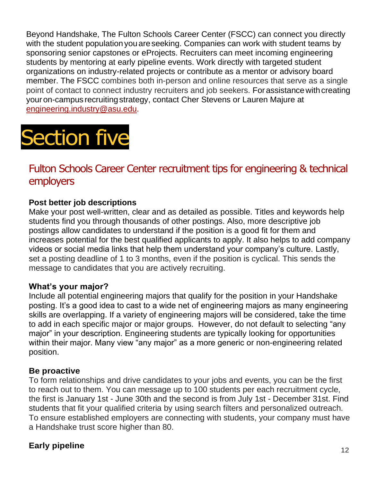Beyond Handshake, The Fulton Schools Career Center (FSCC) can connect you directly with the student population you are seeking. Companies can work with student teams by sponsoring senior capstones or eProjects. Recruiters can meet incoming engineering students by mentoring at early pipeline events. Work directly with targeted student organizations on industry-related projects or contribute as a mentor or advisory board member. The FSCC combines both in-person and online resources that serve as a single point of contact to connect industry recruiters and job seekers. For assistance with creating your on-campus recruitingstrategy, contact Cher Stevens or Lauren Majure at [engineering.industry@asu.edu.](file:///C:/Users/lmajure/Downloads/engineering.industry@asu.edu)

## <span id="page-11-0"></span>**Section five**

### Fulton Schools Career Center recruitment tips for engineering & technical employers

#### **Post better job descriptions**

Make your post well-written, clear and as detailed as possible. Titles and keywords help students find you through thousands of other postings. Also, more descriptive job postings allow candidates to understand if the position is a good fit for them and increases potential for the best qualified applicants to apply. It also helps to add company videos or social media links that help them understand your company's culture. Lastly, set a posting deadline of 1 to 3 months, even if the position is cyclical. This sends the message to candidates that you are actively recruiting.

#### **What's your major?**

Include all potential engineering majors that qualify for the position in your Handshake posting. It's a good idea to cast to a wide net of engineering majors as many engineering skills are overlapping. If a variety of engineering majors will be considered, take the time to add in each specific major or major groups. However, do not default to selecting "any major" in your description. Engineering students are typically looking for opportunities within their major. Many view "any major" as a more generic or non-engineering related position.

#### **Be proactive**

To form relationships and drive candidates to your jobs and events, you can be the first to reach out to them. You can message up to 100 students per each recruitment cycle, the first is January 1st - June 30th and the second is from July 1st - December 31st. Find students that fit your qualified criteria by using search filters and personalized outreach. To ensure established employers are connecting with students, your company must have a Handshake trust score higher than 80.

#### **Early pipeline**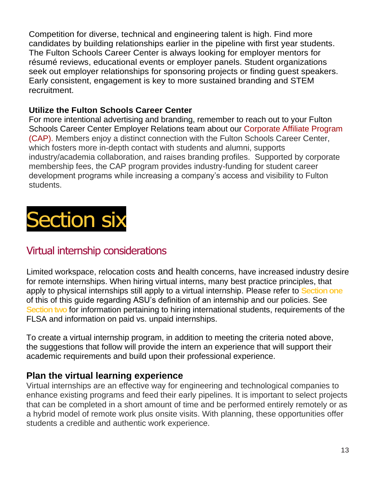Competition for diverse, technical and engineering talent is high. Find more candidates by building relationships earlier in the pipeline with first year students. The Fulton Schools Career Center is always looking for employer mentors for résumé reviews, educational events or employer panels. Student organizations seek out employer relationships for sponsoring projects or finding guest speakers. Early consistent, engagement is key to more sustained branding and STEM recruitment.

#### **Utilize the Fulton Schools Career Center**

For more intentional advertising and branding, remember to reach out to your Fulton Schools Career Center Employer Relations team about our [Corporate Affiliate Program](https://career.engineering.asu.edu/employers/connect_with_asu/cap/)  [\(CAP\).](https://career.engineering.asu.edu/employers/connect_with_asu/cap/) Members enjoy a distinct connection with the Fulton Schools Career Center, which fosters more in-depth contact with students and alumni, supports industry/academia collaboration, and raises branding profiles. Supported by corporate membership fees, the CAP program provides industry-funding for student career development programs while increasing a company's access and visibility to Fulton students.

## <span id="page-12-0"></span>**Section six**

### Virtual internship considerations

Limited workspace, relocation costs and health concerns, have increased industry desire for remote internships. When hiring virtual interns, many best practice principles, that apply to physical internships still apply to a virtual internship. Please refer to **Section one** of this of this guide regarding ASU's definition of an internship and our policies. See **Section two** for information pertaining to hiring international students, requirements of the FLSA and information on paid vs. unpaid internships.

To create a virtual internship program, in addition to meeting the criteria noted above, the suggestions that follow will provide the intern an experience that will support their academic requirements and build upon their professional experience.

#### **Plan the virtual learning experience**

Virtual internships are an effective way for engineering and technological companies to enhance existing programs and feed their early pipelines. It is important to select projects that can be completed in a short amount of time and be performed entirely remotely or as a hybrid model of remote work plus onsite visits. With planning, these opportunities offer students a credible and authentic work experience.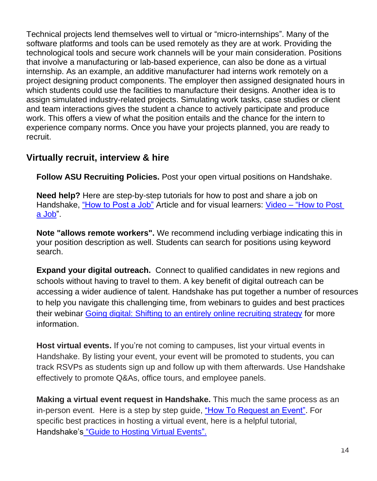Technical projects lend themselves well to virtual or "micro-internships". Many of the software platforms and tools can be used remotely as they are at work. Providing the technological tools and secure work channels will be your main consideration. Positions that involve a manufacturing or lab-based experience, can also be done as a virtual internship. As an example, an additive manufacturer had interns work remotely on a project designing product components. The employer then assigned designated hours in which students could use the facilities to manufacture their designs. Another idea is to assign simulated industry-related projects. Simulating work tasks, case studies or client and team interactions gives the student a chance to actively participate and produce work. This offers a view of what the position entails and the chance for the intern to experience company norms. Once you have your projects planned, you are ready to recruit.

#### **Virtually recruit, interview & hire**

**Follow ASU Recruiting Policies.** Post your open virtual positions on Handshake.

**Need help?** Here are step-by-step tutorials for how to post and share a job on Handshake, ["How to Post a Job"](https://support.joinhandshake.com/hc/en-us/articles/218693198-How-to-Post-a-Job) Article and for visual learners: Video – "How to Post [a Job"](https://support.joinhandshake.com/hc/en-us/articles/221565247-Video-How-to-Post-a-New-Job).

**Note "allows remote workers".** We recommend including verbiage indicating this in your position description as well. Students can search for positions using keyword search.

**Expand your digital outreach.** Connect to qualified candidates in new regions and schools without having to travel to them. A key benefit of digital outreach can be accessing a wider audience of talent. Handshake has put together a number of resources to help you navigate this challenging time, from webinars to guides and best practices their webinar [Going digital: Shifting to an entirely online recruiting strategy](https://godigital.joinhandshake.com/) for more information.

**Host virtual events.** If you're not coming to campuses, list your virtual events in Handshake. By listing your event, your event will be promoted to students, you can track RSVPs as students sign up and follow up with them afterwards. Use Handshake effectively to promote Q&As, office tours, and employee panels.

**Making a virtual event request in Handshake.** This much the same process as an in-person event. Here is a step by step guide, ["How To Request an Event".](https://support.joinhandshake.com/hc/en-us/articles/360001027648-How-to-Request-an-Event-) For specific best practices in hosting a virtual event, here is a helpful tutorial, Handshake's ["Guide to Hosting Virtual Events".](https://support.joinhandshake.com/hc/en-us/articles/360044814973)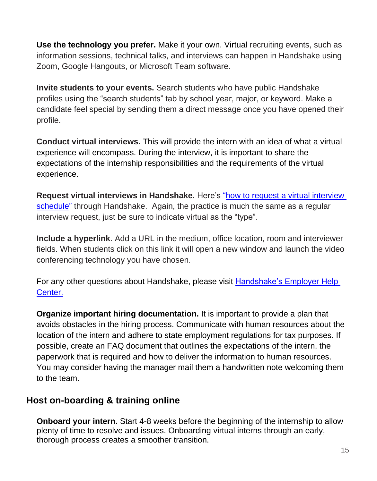**Use the technology you prefer.** Make it your own. Virtual recruiting events, such as information sessions, technical talks, and interviews can happen in Handshake using Zoom, Google Hangouts, or Microsoft Team software.

**Invite students to your events.** Search students who have public Handshake profiles using the "search students" tab by school year, major, or keyword. Make a candidate feel special by sending them a direct message once you have opened their profile.

**Conduct virtual interviews.** This will provide the intern with an idea of what a virtual experience will encompass. During the interview, it is important to share the expectations of the internship responsibilities and the requirements of the virtual experience.

**Request virtual interviews in Handshake.** Here's ["how to request a virtual interview](https://support.joinhandshake.com/hc/en-us/articles/360045688654-Hosting-Virtual-Interviews)  [schedule"](https://support.joinhandshake.com/hc/en-us/articles/360045688654-Hosting-Virtual-Interviews) through Handshake. Again, the practice is much the same as a regular interview request, just be sure to indicate virtual as the "type".

**Include a hyperlink**. Add a URL in the medium, office location, room and interviewer fields. When students click on this link it will open a new window and launch the video conferencing technology you have chosen.

For any other questions about Handshake, please visit [Handshake's](https://support.joinhandshake.com/hc/en-us/categories/202707307-Employer) Employer Help [Center.](https://support.joinhandshake.com/hc/en-us/categories/202707307-Employer)

**Organize important hiring documentation.** It is important to provide a plan that avoids obstacles in the hiring process. Communicate with human resources about the location of the intern and adhere to state employment regulations for tax purposes. If possible, create an FAQ document that outlines the expectations of the intern, the paperwork that is required and how to deliver the information to human resources. You may consider having the manager mail them a handwritten note welcoming them to the team.

#### **Host on-boarding & training online**

**Onboard your intern.** Start 4-8 weeks before the beginning of the internship to allow plenty of time to resolve and issues. Onboarding virtual interns through an early, thorough process creates a smoother transition.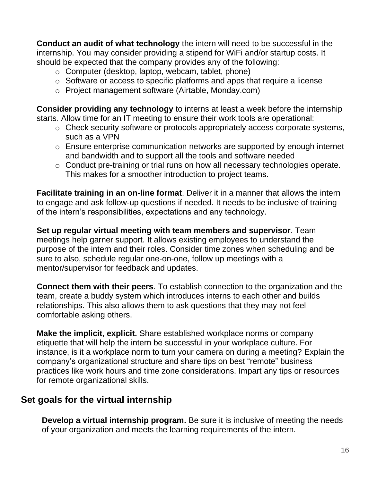**Conduct an audit of what technology** the intern will need to be successful in the internship. You may consider providing a stipend for WiFi and/or startup costs. It should be expected that the company provides any of the following:

- o Computer (desktop, laptop, webcam, tablet, phone)
- o Software or access to specific platforms and apps that require a license
- o Project management software (Airtable, Monday.com)

**Consider providing any technology** to interns at least a week before the internship starts. Allow time for an IT meeting to ensure their work tools are operational:

- o Check security software or protocols appropriately access corporate systems, such as a VPN
- o Ensure enterprise communication networks are supported by enough internet and bandwidth and to support all the tools and software needed
- o Conduct pre-training or trial runs on how all necessary technologies operate. This makes for a smoother introduction to project teams.

**Facilitate training in an on-line format**. Deliver it in a manner that allows the intern to engage and ask follow-up questions if needed. It needs to be inclusive of training of the intern's responsibilities, expectations and any technology.

**Set up regular virtual meeting with team members and supervisor**. Team meetings help garner support. It allows existing employees to understand the purpose of the intern and their roles. Consider time zones when scheduling and be sure to also, schedule regular one-on-one, follow up meetings with a mentor/supervisor for feedback and updates.

**Connect them with their peers**. To establish connection to the organization and the team, create a buddy system which introduces interns to each other and builds relationships. This also allows them to ask questions that they may not feel comfortable asking others.

**Make the implicit, explicit.** Share established workplace norms or company etiquette that will help the intern be successful in your workplace culture. For instance, is it a workplace norm to turn your camera on during a meeting? Explain the company's organizational structure and share tips on best "remote" business practices like work hours and time zone considerations. Impart any tips or resources for remote organizational skills.

#### **Set goals for the virtual internship**

**Develop a virtual internship program.** Be sure it is inclusive of meeting the needs of your organization and meets the learning requirements of the intern.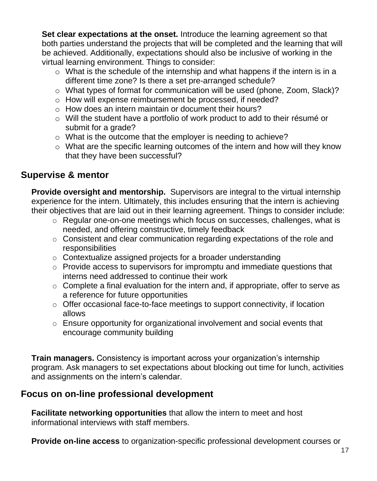**Set clear expectations at the onset.** Introduce the learning agreement so that both parties understand the projects that will be completed and the learning that will be achieved. Additionally, expectations should also be inclusive of working in the virtual learning environment. Things to consider:

- $\circ$  What is the schedule of the internship and what happens if the intern is in a different time zone? Is there a set pre-arranged schedule?
- o What types of format for communication will be used (phone, Zoom, Slack)?
- o How will expense reimbursement be processed, if needed?
- $\circ$  How does an intern maintain or document their hours?
- o Will the student have a portfolio of work product to add to their résumé or submit for a grade?
- o What is the outcome that the employer is needing to achieve?
- o What are the specific learning outcomes of the intern and how will they know that they have been successful?

#### **Supervise & mentor**

**Provide oversight and mentorship.** Supervisors are integral to the virtual internship experience for the intern. Ultimately, this includes ensuring that the intern is achieving their objectives that are laid out in their learning agreement. Things to consider include:

- o Regular one-on-one meetings which focus on successes, challenges, what is needed, and offering constructive, timely feedback
- o Consistent and clear communication regarding expectations of the role and responsibilities
- o Contextualize assigned projects for a broader understanding
- o Provide access to supervisors for impromptu and immediate questions that interns need addressed to continue their work
- $\circ$  Complete a final evaluation for the intern and, if appropriate, offer to serve as a reference for future opportunities
- o Offer occasional face-to-face meetings to support connectivity, if location allows
- o Ensure opportunity for organizational involvement and social events that encourage community building

**Train managers.** Consistency is important across your organization's internship program. Ask managers to set expectations about blocking out time for lunch, activities and assignments on the intern's calendar.

#### **Focus on on-line professional development**

**Facilitate networking opportunities** that allow the intern to meet and host informational interviews with staff members.

**Provide on-line access** to organization-specific professional development courses or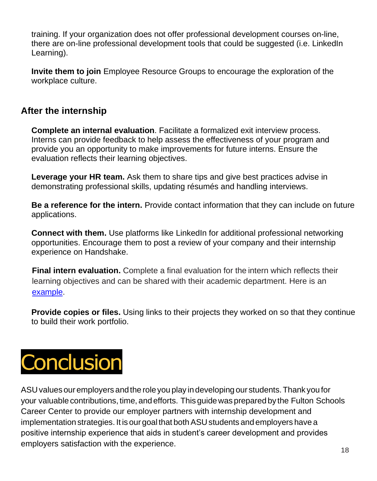training. If your organization does not offer professional development courses on-line, there are on-line professional development tools that could be suggested (i.e. LinkedIn Learning).

**Invite them to join** Employee Resource Groups to encourage the exploration of the workplace culture.

#### **After the internship**

**Complete an internal evaluation**. Facilitate a formalized exit interview process. Interns can provide feedback to help assess the effectiveness of your program and provide you an opportunity to make improvements for future interns. Ensure the evaluation reflects their learning objectives.

**Leverage your HR team.** Ask them to share tips and give best practices advise in demonstrating professional skills, updating résumés and handling interviews.

**Be a reference for the intern.** Provide contact information that they can include on future applications.

**Connect with them.** Use platforms like LinkedIn for additional professional networking opportunities. Encourage them to post a review of your company and their internship experience on Handshake.

**Final intern evaluation.** Complete a final evaluation for the intern which reflects their learning objectives and can be shared with their academic department. Here is an [example.](../Downloads/Performance%20Evaluation-%20Student.pdf)

**Provide copies or files.** Using links to their projects they worked on so that they continue to build their work portfolio.

## <span id="page-17-0"></span>**Conclusion**

ASUvalues ouremployers andthe roleyou play indeveloping our students.Thank youfor your valuable contributions, time, and efforts. This guide was prepared by the Fulton Schools Career Center to provide our employer partners with internship development and implementation strategies. It is our goal that both ASU students and employers have a positive internship experience that aids in student's career development and provides employers satisfaction with the experience.